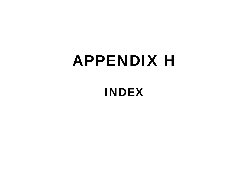## **APPENDIX H**

## **INDEX**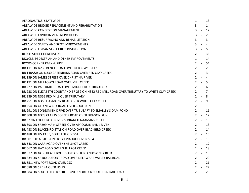| AERONAUTICS, STATEWIDE                                                                        | $\mathbf{1}$ | $\blacksquare$ | - 13         |
|-----------------------------------------------------------------------------------------------|--------------|----------------|--------------|
| AREAWIDE BRIDGE REPLACEMENT AND REHABILITATION                                                | $\mathbf{3}$ | $\sim$ $-$     | $\mathbf{1}$ |
| AREAWIDE CONGESTION MANAGEMENT                                                                | 3            | $-12$          |              |
| AREAWIDE ENVIRONMENTAL PROJECTS                                                               | $\mathbf{3}$ | $-2$           |              |
| AREAWIDE RESURFACING AND REHABILITATION                                                       | $3 - 3$      |                |              |
| AREAWIDE SAFETY AND SPOT IMPROVEMENTS                                                         | $\mathbf{3}$ | $-4$           |              |
| AREAWIDE URBAN STREET RECONSTRUCTION                                                          | $3 - 5$      |                |              |
| <b>BEECH STREET GENERATOR</b>                                                                 | $2 - 35$     |                |              |
| BICYCLE, PEDESTRIAN AND OTHER IMPROVEMENTS                                                    | $1 - 14$     |                |              |
| <b>BOYDS CORNER PARK &amp; RIDE</b>                                                           | $2 - 54$     |                |              |
| BR 111 ON N235 BENGE ROAD OVER RED CLAY CREEK                                                 | $2 - 2$      |                |              |
| BR 148A&B ON N330 GREENBANK ROAD OVER RED CLAY CREEK                                          | $2 - 3$      |                |              |
| BR 159 ON JAMES STREET OVER CHRISTINA RIVER                                                   | $2 - 4$      |                |              |
| BR 191 ON MILLTOWN ROAD OVER MILL CREEK                                                       | $2 - 5$      |                |              |
| BR 227 ON PAPERMILL ROAD OVER MIDDLE RUN TRIBUTARY                                            | $2 - 6$      |                |              |
| BR 238 ON ELIZABETH COURT AND BR 239 ON N352 RED MILL ROAD OVER TRIBUTARY TO WHITE CLAY CREEK | $2 - 7$      |                |              |
| BR 239 ON N352 RED MILL OVER TRIBUTARY                                                        | $2 - 8$      |                |              |
| BR 251 ON N355 HARMONY ROAD OVER WHITE CLAY CREEK                                             | $2 - 9$      |                |              |
| BR 254 ON OLD NEWARK ROAD OVER COOL RUN                                                       | $2^{\circ}$  | $-10$          |              |
| BR 291 ON SONGSMITH DRIVE OVER TRIBUTARY TO SMALLEY'S DAM POND                                | $2^{\circ}$  | $\sim 100$     | 11           |
| BR 308 ON N378 CLARKS CORNER ROAD OVER DRAGON RUN                                             | $2^{\circ}$  | $-12$          |              |
| BR 32 ON FOULK ROAD OVER S. BRANCH NAAMANS CREEK                                              | $2 - 1$      |                |              |
| BR 393 ON SR299 MAIN STREET OVER APPOQUINIMINK RIVER                                          | $2 - 13$     |                |              |
| BR 438 ON BLACKBIRD STATION ROAD OVER BLACKBIRD CREEK                                         | $2 - 14$     |                |              |
| BR 488 ON US 13 SB, SOUTH OF ODESSA                                                           | $2 - 1$      |                | 15           |
| BR 501, 501A, 501B ON SR 141 VIADUCT OVER SR 4                                                | $2 - 16$     |                |              |
| BR 543 ON CARR ROAD OVER SHELLPOT CREEK                                                       | $2 - 17$     |                |              |
| BR 567 ON HAY ROAD OVER SHELLPOT CREEK                                                        | $2 -$        |                | 18           |
| BR 577 ON NORTHEAST BOULEVARD OVER BRANDYWINE CREEK                                           | $2 - 19$     |                |              |
| BR 634 ON SR100 DUPONT ROAD OVER DELAWARE VALLEY RAILROAD                                     | $2 - 20$     |                |              |
| BR 651, NEWPORT ROAD OVER CSX                                                                 | $2 - 21$     |                |              |
| BR 680 ON SR 141 OVER US 13                                                                   | $2 - 22$     |                |              |
| BR 684 ON SOUTH HEALD STREET OVER NORFOLK SOUTHERN RAILROAD                                   | $2 - 23$     |                |              |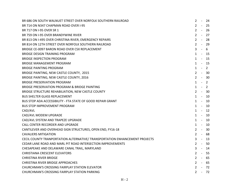| BR 686 ON SOUTH WALNUET STREET OVER NORFOLK SOUTHERN RAILROAD               | $\overline{2}$ | $\mathbb{L}$             | 24             |
|-----------------------------------------------------------------------------|----------------|--------------------------|----------------|
| BR 714 ON N347 CHAPMAN ROAD OVER I-95                                       | $2 -$          |                          | 25             |
| BR 717 ON I-95 OVER SR 1                                                    | $2^{\circ}$    | $\sim 100$               | -26            |
| BR 759 ON I-95 OVER BRANDYWINE RIVER                                        | $2^{\circ}$    | $\sim$ $-$               | 27             |
| BR 813 ON I-495 OVER CHRISTINA RIVER, EMERGENCY REPAIRS                     | $2^{\circ}$    | $\sim$ $-$               | 28             |
| BR 814 ON 12TH STREET OVER NORFOLK SOUTHERN RAILROAD                        | $2^{\circ}$    | $\sim 10^{-11}$          | -29            |
| BRIDGE CE-0097 BARON ROAD OVER CSX REPLACEMENT                              | 3              | $\sim$ $ \sim$           | 6              |
| BRIDGE DESIGN TRAINING PROGRAM                                              | $\mathbf{1}$   | - 15                     |                |
| <b>BRIDGE INSPECTION PROGRAM</b>                                            | $1 -$          |                          | 15             |
| <b>BRIDGE MANAGEMENT PROGRAM</b>                                            |                | $1 - 15$                 |                |
| <b>BRIDGE PAINTING PROGRAM</b>                                              | $1 -$          |                          | $\overline{2}$ |
| BRIDGE PAINTING, NEW CASTLE COUNTY, 2015                                    | $2^{\circ}$    | $\sim 10^{-11}$          | -30            |
| BRIDGE PAINTING, NEW CASTLE COUNTY, 2016                                    | $2^{\circ}$    | $\sim$ $ \sim$           | - 30           |
| <b>BRIDGE PRESERVATION PROGRAM</b>                                          | $\mathbf{1}$   | $-2$                     |                |
| BRIDGE PRESERVATION PROGRAM & BRIDGE PAINTING                               |                | $1 - 2$                  |                |
| BRIDGE STRUCTURE REHABILIATION, NEW CASTLE COUNTY                           | $2 - 1$        |                          | -30            |
| <b>BUS SHELTER GLASS REPLACEMENT</b>                                        | $1 -$          |                          | 10             |
| BUS STOP ADA ACCESSIBILITY - FTA STATE OF GOOD REPAIR GRANT                 | $\mathbf{1}$   | $\sim$ $-$               | 10             |
| <b>BUS STOP IMPROVEMENT PROGRAM</b>                                         | $\mathbf{1}$   | $\sim$                   | 10             |
| CAD/AVL                                                                     | $\mathbf{1}$   | $\sim$ $-$               | 12             |
| CAD/AVL MODEM UPGRADE                                                       | $\mathbf{1}$   | $\sim$ $-$               | 10             |
| CAD/AVL SYSTEM AND TRAPEZE UPGRADE                                          | $\mathbf{1}$   | $\sim$ $-$               | 10             |
| CALL CENTER RECORDER AND UPGRADE                                            | $\mathbf{1}$   | $\sim$ $-$               | 10             |
| CANTILEVER AND OVERHEAD SIGN STRUCTURES, OPEN END, FY16-18                  | $2 -$          |                          | 30             |
| <b>CAVALIERS MITIGATION</b>                                                 | $2^{\circ}$    | $\sim 100$               | 68             |
| CECIL COUNTY TRANPORTATION ALTERNATIVE/ TRANSPORTATION ENHANCEMENT PROJECTS | $\mathbf{3}$   | $\blacksquare$           | 13             |
| CEDAR LANE ROAD AND MARL PIT ROAD INTERSECTION IMPROVEMENTS                 | $\mathbf{2}$   | $\overline{\phantom{a}}$ | 50             |
| CHESAPEAKE AND DELAWARE CANAL TRAIL, MARYLAND                               | 3              | $\sim$                   | 14             |
| CHRISTIANA CRESCENT ELEVATORS                                               | $2^{\circ}$    | $\sim$ $ \sim$           | -55            |
| <b>CHRISTINA RIVER BRIDGE</b>                                               | $2 - -$        |                          | -65            |
| <b>CHRISTINA RIVER BRIDGE APPROACHES</b>                                    | $2 -$          |                          | 65             |
| CHURCHMAN'S CROSSING FAIRPLAY STATION ELEVATOR                              |                |                          | $2 - 72$       |
| CHURCHMAN'S CROSSING FAIRPLAY STATION PARKING                               | $\mathbf{2}$   | $\blacksquare$           | 72             |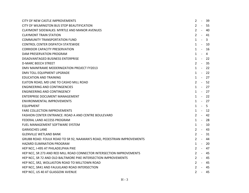| CITY OF NEW CASTLE IMPROVEMENTS                                         | 2            | $\sim$ $-$     | 39    |
|-------------------------------------------------------------------------|--------------|----------------|-------|
| CITY OF WILMINGTON BUS STOP BEAUTIFICATION                              | $2 -$        |                | -55   |
| <b>CLAYMONT SIDEWALKS: MYRTLE AND MANOR AVENUES</b>                     | $2 -$        |                | 40    |
| <b>CLAYMONT TRAIN STATION</b>                                           | $2 - 41$     |                |       |
| <b>COMMUNITY TRANSPORTATION FUND</b>                                    | $\mathbf{1}$ | $\sim$ $-$     | 3     |
| <b>CONTROL CENTER DISPATCH STATEWIDE</b>                                | $\mathbf{1}$ | $\sim$ $-$     | 10    |
| <b>CORRIDOR CAPACITY PRESERVATION</b>                                   | $\mathbf{1}$ | $\sim$ $-$     | -16   |
| DAM PRESERVATION PROGRAM                                                | $1 - 4$      |                |       |
| DISADVANTAGED BUSINESS ENTERPRISE                                       | $1 - 22$     |                |       |
| <b>D-MARC BEECH STREET</b>                                              | $2 - 35$     |                |       |
| DMV MAINFRAME MODERNIZATION PROJECT FY2013                              | $1 - 22$     |                |       |
| DMV TOLL EQUIPMENT UPGRADE                                              | $\mathbf{1}$ | $\sim$ $-$     | 22    |
| <b>EDUCATION AND TRAINING</b>                                           | $1 - 27$     |                |       |
| ELKTON ROAD, MD LINE TO CASHO MILL ROAD                                 | $2^{\circ}$  | $\sim 100$     | -52   |
| <b>ENGINEERING AND CONTINGENCIES</b>                                    | $1 - 27$     |                |       |
| ENGINEERING AND CONTINGENCY                                             | $1 - 27$     |                |       |
| <b>ENTERPRISE DOCUMENT MANAGEMENT</b>                                   | $1 - 22$     |                |       |
| ENVIRONMENTAL IMPROVEMENTS                                              | $1 - 27$     |                |       |
| <b>EQUIPMENT</b>                                                        | $1 - 5$      |                |       |
| <b>FARE COLLECTION IMPROVEMENTS</b>                                     | $\mathbf{1}$ |                | $-12$ |
| FASHION CENTER ENTRANCE: ROAD A AND CENTRE BOULEVARD                    | $2^{\circ}$  | $\sim 100$     | -42   |
| FEDERAL LAND ACCESS PROGRAM                                             | $1 -$        |                | -28   |
| FUEL MANAGEMENT SOFTWARE SYSTEM                                         | $1 -$        |                | -10   |
| <b>GARASCHES LANE</b>                                                   | $2 - 43$     |                |       |
| <b>GLENVILLE WETLAND BANK</b>                                           | $2 -$        |                | -31   |
| GRUBB ROAD: FOULK ROAD TO SR 92, NAAMAN'S ROAD, PEDESTRIAN IMPROVEMENTS | $2^{\circ}$  |                | - 44  |
| <b>HAZARD ELIMINATION PROGRAM</b>                                       | $\mathbf{1}$ | $\sim$ $ \sim$ | 20    |
| HEP NCC, I-495 AT PHILADELPHIA PIKE                                     | 2            |                | - 47  |
| HEP NCC, SR 273 AND RED MILL ROAD CONNECTOR INTERSECTION IMPROVEMENTS   | $2^{\circ}$  |                | - 45  |
| HEP NCC, SR 72 AND OLD BALTIMORE PIKE INTERSECTION IMPROVEMENTS         | $2^{\circ}$  |                | $-45$ |
| HEP NCC, SR2, WOLLASTON ROAD TO MILLTOWN ROAD                           | $2 - 45$     |                |       |
| HEP NCC, SR41 AND FAULKLAND ROAD INTERSECTION                           | $2 - 45$     |                |       |
| HEP NCC, US 40 AT GLASGOW AVENUE                                        | $2^{\circ}$  |                | - 45  |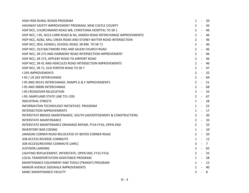| HIGH RISK RURAL ROADS PROGRAM                                            | $\mathbf{1}$   | $\sim$          | -20   |
|--------------------------------------------------------------------------|----------------|-----------------|-------|
| HIGHWAY SAFETY IMPROVEMENT PROGRAM, NEW CASTLE COUNTY                    | $2 -$          |                 | -45   |
| HSIP NCC, CHURCHMANS ROAD WB, CHRISTIANA HOSPITAL TO SR 1                | $2 -$          |                 | 46    |
| HSIP NCC, I-95, N213 CARR ROAD & N3, MARSH ROAD INTERCHANGE IMPROVEMENTS | $2 - 1$        |                 | - 46  |
| HSIP NCC, N282, MILL CREEK ROAD AND STONEY BATTER ROAD INTERSECTION      | $2^{\circ}$    | $\sim$ $\sim$   | 46    |
| HSIP NCC, N54, HOWELL SCHOOL ROAD, SR 896 TO SR 71                       | $2^{\circ}$    | $\sim 100$      | 46    |
| HSIP NCC, OLD BALTIMORE PIKE AND SALEM CHURCH ROAD                       | $2^{\circ}$    | $\sim 10^{-10}$ | 46    |
| HSIP NCC, SR 273 AND HARMONY ROAD INTERSECTION IMPROVEMENT               | $2^{\circ}$    |                 | $-46$ |
| HSIP NCC, SR 273, APPLEBY ROAD TO AIRPORT ROAD                           | $2 - 1$        |                 | -46   |
| HSIP NCC, SR 41 AND HERCULES ROAD INTERSECTION IMPROVEMENTS              | $2 - 1$        |                 | 46    |
| HSIP NCC, SR 71, OLD PORTER ROAD TO SR 7                                 | $2 - 47$       |                 |       |
| <b>I-295 IMPROVEMENTS</b>                                                | $2 - 1$        |                 | - 32  |
| I-95 / US 202 INTERCHANGE                                                | $2 - 69$       |                 |       |
| I-95 AND SR141 INTERCHANGE, RAMPS G & F IMPROVEMENTS                     | $2 -$          |                 | 51    |
| <b>I-95 AND SR896 INTERCHANGE</b>                                        | $2 - 68$       |                 |       |
| <b>I-95 CROSSOVER RELOCATION</b>                                         | $2 -$          |                 | 33    |
| I-95: MARYLAND STATE LINE TO I-295                                       | $2 - 67$       |                 |       |
| <b>INDUSTRIAL STREETS</b>                                                | $1 - 28$       |                 |       |
| INFORMATION TECHNOLOGY INITIATIVES PROGRAM                               | $1 - 22$       |                 |       |
| <b>INTERSECTION IMPROVEMENTS</b>                                         | $1 - 17$       |                 |       |
| INTERSTATE BRIDGE MAINTENANCE, SOUTH (ADVERTISEMENT & CONSTRUCTION)      | $2 -$          |                 | 30    |
| <b>INTERSTATE MAINTENANCE</b>                                            | $2^{\circ}$    | $\sim 100$      | 33    |
| INTERSTATE MAINTENANCE DRAINAGE REPAIR, FY14-FY16, OPEN-END              | $2 -$          |                 | 33    |
| <b>INVENTORY BAR CODING</b>                                              | $1 - 10$       |                 |       |
| JAMISON CORNER ROAD RELOCATED AT BOYDS CORNER ROAD                       | $2 -$          |                 | 50    |
| JOB ACCESS REVERSE COMMUTE                                               | $1 - 12$       |                 |       |
| JOB ACCESS/REVERSE COMMUTE (JARC)                                        | $\mathbf{3}$   | $-7$            |       |
| <b>JUSTISON LANDING</b>                                                  | $2 - 65$       |                 |       |
| LIGHTING REPLACEMENT, INTERSTATE, OPEN END, FY15-FY16                    | $2 - 33$       |                 |       |
| LOCAL TRANSPORTATION ASSISTANCE PROGRAM                                  | $1 - 28$       |                 |       |
| MAINTENANCE EQUIPMENT AND TOOLS (TRANSIT) PROGRAM                        | $1 -$          |                 | 12    |
| MANOR AVENUE SIDEWALK IMPROVEMENTS                                       | $2 - 40$       |                 |       |
| <b>MARC MAINTENANCE FACILITY</b>                                         | $\overline{3}$ | $-8$            |       |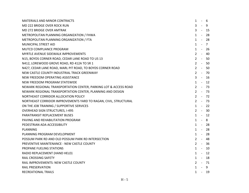| <b>MATERIALS AND MINOR CONTRACTS</b>                             | $\mathbf{1}$ | - 6   |                |
|------------------------------------------------------------------|--------------|-------|----------------|
| MD 222 BRIDGE OVER ROCK RUN                                      | $3 - 9$      |       |                |
| MD 272 BRIDGE OVER AMTRAK                                        | $3 - 15$     |       |                |
| METROPOLITAN PLANNING ORGANIZATION / FHWA                        | $1 -$        |       | -28            |
| METROPOLITAN PLANNING ORGANIZATION / FTA                         | $1 - 28$     |       |                |
| MUNICIPAL STREET AID                                             | $1 -$        |       | $\overline{7}$ |
| MUTCD COMPLIANCE PROGRAM                                         | $\mathbf{1}$ | - 26  |                |
| <b>MYRTLE AVENUE SIDEWALK IMPROVEMENTS</b>                       | $2^{\circ}$  |       | - 40           |
| N15, BOYDS CORNER ROAD, CEDAR LANE ROAD TO US 13                 | $2 - 50$     |       |                |
| N412, LOREWOOD GROVE ROAD, RD 412A TO SR 1                       | $2 - 50$     |       |                |
| N427, CEDAR LANE ROAD, MARL PIT ROAD, TO BOYDS CORNER ROAD       | $2 - 50$     |       |                |
| NEW CASTLE COUNTY INDUSTRIAL TRACK GREENWAY                      | $2 - 70$     |       |                |
| NEW FREEDOM OPERATING ASSISTANCE                                 | $3 - 16$     |       |                |
| NEW FREEDOM PROGRAM STATEWIDE                                    | $1 - 12$     |       |                |
| NEWARK REGIONAL TRANSPORTATION CENTER, PARKING LOT & ACCESS ROAD | $2 - 73$     |       |                |
| NEWARK REGIONAL TRANSPORTATION CENTER, PLANNING AND DESIGN       | $2 - 73$     |       |                |
| NORTHEAST CORRIDOR ALLOCATION POLICY                             | $2 - 72$     |       |                |
| NORTHEAST CORRIDOR IMPROVEMENTS YARD TO RAGAN, CIVIL, STRUCTURAL | $2 - 73$     |       |                |
| ON THE JOB TRAINING / SUPPORTIVE SERVICES                        | $1 - 22$     |       |                |
| <b>OVERHEAD SIGN STRUCTURES, I-495</b>                           | $2 - 30$     |       |                |
| PARATRANSIT REPLACEMENT BUSES                                    | $1 - 12$     |       |                |
| PAVING AND REHABILITATION PROGRAM                                | $1 - 8$      |       |                |
| PEDESTRIAN ADA ACCESSIBILITY                                     | $1 - 28$     |       |                |
| <b>PLANNING</b>                                                  | $1 - 28$     |       |                |
| PLANNING PROGRAM DEVELOPMENT                                     | $1 -$        |       | 28             |
| POSSUM PARK RD AND OLD POSSUM PARK RD INTERSECTION               | $2 - 48$     |       |                |
| PREVENTIVE MAINTENANCE - NEW CASTLE COUNTY                       | $2 - 36$     |       |                |
| PROPANE FUELING STATIONS                                         | $1 - 10$     |       |                |
| RADIO REPLACEMENT (HAND HELD)                                    | $1 - 12$     |       |                |
| RAIL CROSSING SAFETY                                             | 1 - 18       |       |                |
| RAIL IMPROVEMENTS: NEW CASTLE COUNTY                             | $2 - 71$     |       |                |
| <b>RAIL PRESERVATION</b>                                         | $1 - 9$      |       |                |
| RECREATIONAL TRAILS                                              | $\mathbf{1}$ | $-19$ |                |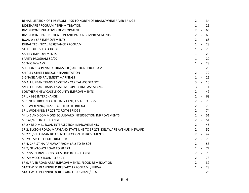| REHABILITATION OF I-95 FROM I-495 TO NORTH OF BRANDYWINE RIVER BRIDGE     | $\mathbf{2}$ | $\sim$ $-$     | 34       |
|---------------------------------------------------------------------------|--------------|----------------|----------|
| RIDESHARE PROGRAM / TRIP MITIGATION                                       | $1 -$        |                | 26       |
| RIVERFRONT INITIATIVES DEVELOPMENT                                        | $2 -$        |                | 65       |
| RIVERFRONT RAIL RELOCATION AND PARKING IMPROVEMENTS                       | $2 - 1$      |                | 65       |
| ROAD A / SR7 IMPROVEMENTS                                                 | $2 -$        |                | 68       |
| RURAL TECHNICAL ASSISTANCE PROGRAM                                        | $1 -$        |                | 28       |
| SAFE ROUTES TO SCHOOL                                                     | $\mathbf{1}$ | $\sim 100$     | -28      |
| <b>SAFETY IMPROVEMENTS</b>                                                | $1 -$        |                | 20       |
| SAFETY PROGRAM 80/20                                                      | $1 -$        |                | -20      |
| <b>SCENIC BYWAYS</b>                                                      | $1 - 28$     |                |          |
| SECTION 154 PENALTY TRANSFER (SANCTION) PROGRAM                           | $1 - 20$     |                |          |
| SHIPLEY STREET BRIDGE REHABILITATION                                      |              |                | $2 - 72$ |
| SIGNAGE AND PAVEMENT MARKINGS                                             |              | $1 -$          | 21       |
| SMALL URBAN TRANSIT SYSTEM - CAPITAL ASSISTANCE                           | 3            |                | $-10$    |
| SMALL URBAN TRANSIT SYSTEM - OPERATING ASSISTANCE                         | $\mathbf{3}$ |                | - 11     |
| SOUTHERN NEW CASTLE COUNTY IMPROVEMENTS                                   | $2 - 1$      |                | 49       |
| SR 1 / I-95 INTERCHANGE                                                   | $2 - 68$     |                |          |
| SR 1 NORTHBOUND AUXILIARY LANE, US 40 TO SR 273                           | $2 - 75$     |                |          |
| SR 1 WIDENING, SR273 TO THE ROTH BRIDGE                                   | $2 - 75$     |                |          |
| SR 1 WIDENING: SR 273 TO ROTH BRIDGE                                      |              |                | $2 - 74$ |
| SR 141 AND COMMONS BOULEVARD INTERSECTION IMPROVEMENTS                    |              |                | $2 - 51$ |
| SR 141/I-95 INTERCHANGE                                                   | $2 - 51$     |                |          |
| SR 2 / RED MILL ROAD INTERSECTION IMPROVEMENTS                            | $2 - 45$     |                |          |
| SR 2, ELKTON ROAD: MARYLAND STATE LINE TO SR 273, DELAWARE AVENUE, NEWARK |              |                | $2 - 52$ |
| SR 273 / CHAPMAN ROAD INTERSECTION IMPROVEMENTS                           |              |                | $2 - 47$ |
| SR 299: SR 1 TO CATHERINE STREET                                          | $2 - 76$     |                |          |
| SR 4, CHRISTINA PARKWAY FROM SR 2 TO SR 896                               | $2 - 53$     |                |          |
| SR 7, NEWTOWN ROAD TO SR 273                                              |              |                | $2 - 77$ |
| SR 72/SR 1 DIVERGING DIAMOND INTERCHANGE                                  | $2 -$        |                | - 75     |
| SR 72: MCCOY ROAD TO SR 71                                                | $2 - 78$     |                |          |
| SR 9, RIVER ROAD AREA IMPROVEMENTS, FLOOD REMEDIATION                     |              |                | $2 - 39$ |
| STATEWIDE PLANNING & RESEARCH PROGRAM / FHWA                              |              |                | $1 - 28$ |
| STATEWIDE PLANNING & RESEARCH PROGRAM / FTA                               | $\mathbf{1}$ | $\sim$ $ \sim$ | - 28     |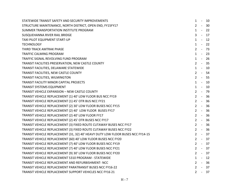| STATEWIDE TRANSIT SAFETY AND SECURITY IMPROVEMENTS                              | $\mathbf{1}$   | $\sim$ | 10       |
|---------------------------------------------------------------------------------|----------------|--------|----------|
| STRUCTURE MAINTENANCE, NORTH DISTRICT, OPEN END, FY15FY17                       | $2 -$          |        | 30       |
| SUMMER TRANSPORTATION INSTITUTE PROGRAM                                         |                |        | $1 - 22$ |
| SUSQUEHANNA RIVER RAIL BRIDGE                                                   | $\overline{3}$ |        | - 17     |
| TAXI PILOT EQUIPMENT START-UP                                                   | $1 -$          |        | 12       |
| <b>TECHNOLOGY</b>                                                               | $1 -$          |        | 22       |
| THIRD TRACK AMTRAK PHASE                                                        |                |        | $2 - 73$ |
| TRAFFIC CALMING PROGRAM                                                         |                |        | $1 - 23$ |
| TRAFFIC SIGNAL REVOLVING FUND PROGRAM                                           |                |        | $1 - 26$ |
| TRANSIT FACILITIES PRESERVATION, NEW CASTLE COUNTY                              | $2 -$          |        | 35       |
| TRANSIT FACILITIES, DELAWARE STATEWIDE                                          |                |        | $1 - 10$ |
| TRANSIT FACILITIES, NEW CASTLE COUNTY                                           |                |        | $2 - 54$ |
| TRANSIT FACILITIES, WILMINGTON                                                  |                |        | $2 - 55$ |
| TRANSIT FACILITY MINOR CAPITAL PROJECTS                                         |                |        | $1 - 10$ |
| TRANSIT SYSTEMS EQUIPMENT                                                       |                |        | $1 - 10$ |
| TRANSIT VEHICLE EXPANSION - NEW CASTLE COUNTY                                   | $2 - 79$       |        |          |
| TRANSIT VEHICLE REPLACEMENT (1) 40' LOW FLOOR BUS NCC FY19                      | $2 - 36$       |        |          |
| TRANSIT VEHICLE REPLACEMENT (1) 45' OTR BUS NCC FY21                            | $2 -$          |        | 36       |
| TRANSIT VEHICLE REPLACEMENT (2) 30' LOW FLOOR BUSES NCC FY15                    | $2 -$          |        | 36       |
| TRANSIT VEHICLE REPLACEMENT (2) 40' LOW FLOOR BUSES FY17                        | $2 - 36$       |        |          |
| TRANSIT VEHICLE REPLACEMENT (2) 40' LOW FLOOR FY17                              |                |        | $2 - 36$ |
| TRANSIT VEHICLE REPLACEMENT (2) 45' OTR BUSES NCC FY17                          | $2 - 36$       |        |          |
| TRANSIT VEHICLE REPLACEMENT (3) FIXED ROUTE CUTAWAY BUSES NCC FY17              | $2 -$          |        | - 36     |
| TRANSIT VEHICLE REPLACEMENT (3) FIXED ROUTE CUTAWAY BUSES NCC FY22              | $2 - 36$       |        |          |
| TRANSIT VEHICLE REPLACEMENT (31, 32) 40' HEAVY DUTY LOW FLOOR BUSES NCC FY14-15 | $2 - 37$       |        |          |
| TRANSIT VEHICLE REPLACEMENT (60) 40' LOW FLOOR BUSES NCC FY20                   | $2 - 37$       |        |          |
| TRANSIT VEHICLE REPLACEMENT (7) 40' LOW FLOOR BUSES NCC FY19                    |                |        | $2 - 37$ |
| TRANSIT VEHICLE REPLACEMENT (7) 40' LOW FLOOR BUSES NCC FY21                    | $2 - 37$       |        |          |
| TRANSIT VEHICLE REPLACEMENT (9) 30' LOW FLOOR BUSES NCC FY20                    | $2 - 37$       |        |          |
| TRANSIT VEHICLE REPLACEMENT 5310 PROGRAM - STATEWIDE                            | $1 -$          |        | 12       |
| TRANSIT VEHICLE REPLACEMENT AND REFURBISHMENT-NCC                               | $2 - 36$       |        |          |
| TRANSIT VEHICLE REPLACEMENT PARATRANSIT BUSES NCC FY16-22                       |                |        | $2 - 37$ |
| TRANSIT VEHICLE REPLACEMENT SUPPORT VEHICLES NCC FY16 21                        | $2 - 37$       |        |          |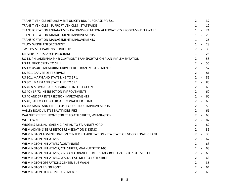| TRANSIT VEHICLE REPLACEMENT UNICITY BUS PURCHASE FY1621                          | 2       | $\sim$ $ \sim$ | 37       |
|----------------------------------------------------------------------------------|---------|----------------|----------|
| TRANSIT VEHICLES - SUPPORT VEHICLES - STATEWIDE                                  | $1 -$   |                | 12       |
| TRANSPORTATION ENHANCEMENTS/TRANSPORTATION ALTERNATIVES PROGRAM - DELAWARE       | $1 - -$ |                | 24       |
| TRANSPORTATION MANAGEMENT IMPROVEMENTS                                           | $1 -$   |                | 25       |
| TRANSPORTATION MANAGEMENT IMPROVEMENTS                                           | $1 -$   |                | 26       |
| TRUCK WEIGH ENFORCEMENT                                                          |         | $1 -$          | 28       |
| <b>TWEEDS MILL PARKING STRUCTURE</b>                                             | $2 - 1$ |                | 38       |
| UNIVERSITY RESEARCH PROGRAM                                                      |         | $1 -$          | 28       |
| US 13, PHILADELPHIA PIKE: CLAYMONT TRANSPORTATION PLAN IMPLEMENTATION            |         |                | $2 - 58$ |
| US 13: DUCK CREEK TO SR 1                                                        |         |                | $2 - 56$ |
| US 13: US 40 - MEMORIAL DRIVE PEDESTRIAN IMPROVEMENTS                            |         |                | $2 - 57$ |
| US 301, GARVEE DEBT SERVICE                                                      |         | $2 - 1$        | 81       |
| US 301, MARYLAND STATE LINE TO SR 1                                              |         | $2 -$          | 81       |
| US 301: MARYLAND STATE LINE TO SR 1                                              | $2 -$   |                | 80       |
| US 40 & SR 896 GRADE SEPARATED INTERSECTION                                      | $2 -$   |                | 60       |
| US 40 / SR 72 INTERSECTION IMPROVEMENTS                                          | $2 -$   |                | 60       |
| US 40 AND SR7 INTERSECTION IMPROVEMENTS                                          | $2 -$   |                | 60       |
| US 40, SALEM CHURCH ROAD TO WALTHER ROAD                                         |         | $2 -$          | -60      |
| US 40: MARYLAND LINE TO US 13, CORRIDOR IMPROVEMENTS                             | $2 -$   |                | -59      |
| VALLEY ROAD / LITTLE BALTIMORE PIKE                                              |         |                | $2 - 61$ |
| WALNUT STREET, FRONT STREET TO 4TH STREET, WILMINGTON                            |         | $2 - 1$        | 63       |
| <b>WESTOWN</b>                                                                   |         |                | $2 - 82$ |
| WIGGINS MILL RD: GREEN GIANT RD TO ST. ANNE'SROAD                                | $2 -$   |                | 82       |
| WILM ADMIN SITE ASBESTOS REMEDIATION & DEMO                                      |         |                | $2 - 35$ |
| WILMINGTON ADMINISTRATION CENTER REHABILITATION - FTA STATE OF GOOD REPAIR GRANT |         |                | $2 - 35$ |
| <b>WILMINGTON INITIATIVES</b>                                                    | $2 -$   |                | -62      |
| WILMINGTON INITIATIVES (CONTINUED)                                               | $2 -$   |                | 63       |
| WILMINGTON INITIATIVES, 4TH STREET, WALNUT ST TO I-95                            |         |                | $2 - 63$ |
| WILMINGTON INITIATIVES, KING AND ORANGE STREETS, MLK BOULEVARD TO 13TH STREET    |         |                | $2 - 63$ |
| WILMINGTON INITIATIVES, WALNUT ST, MLK TO 13TH STREET                            | $2 -$   |                | 63       |
| WILMINGTON OPERATIONS CENTER BUS WASH                                            | $2 -$   |                | 35       |
| <b>WILMINGTON RIVERFRONT</b>                                                     |         | $2 -$          | 64       |
| WILMINGTON SIGNAL IMPROVEMENTS                                                   |         |                | $2 - 66$ |